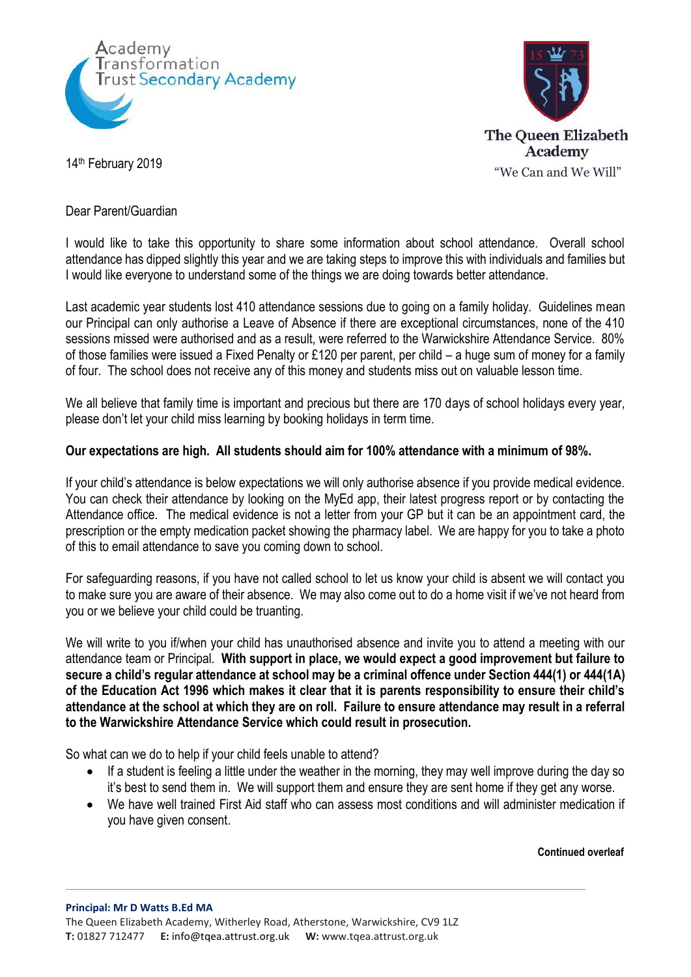



## Dear Parent/Guardian

I would like to take this opportunity to share some information about school attendance. Overall school attendance has dipped slightly this year and we are taking steps to improve this with individuals and families but I would like everyone to understand some of the things we are doing towards better attendance.

Last academic year students lost 410 attendance sessions due to going on a family holiday. Guidelines mean our Principal can only authorise a Leave of Absence if there are exceptional circumstances, none of the 410 sessions missed were authorised and as a result, were referred to the Warwickshire Attendance Service. 80% of those families were issued a Fixed Penalty or £120 per parent, per child – a huge sum of money for a family of four. The school does not receive any of this money and students miss out on valuable lesson time.

We all believe that family time is important and precious but there are 170 days of school holidays every year, please don't let your child miss learning by booking holidays in term time.

## **Our expectations are high. All students should aim for 100% attendance with a minimum of 98%.**

If your child's attendance is below expectations we will only authorise absence if you provide medical evidence. You can check their attendance by looking on the MyEd app, their latest progress report or by contacting the Attendance office. The medical evidence is not a letter from your GP but it can be an appointment card, the prescription or the empty medication packet showing the pharmacy label. We are happy for you to take a photo of this to email attendance to save you coming down to school.

For safeguarding reasons, if you have not called school to let us know your child is absent we will contact you to make sure you are aware of their absence. We may also come out to do a home visit if we've not heard from you or we believe your child could be truanting.

We will write to you if/when your child has unauthorised absence and invite you to attend a meeting with our attendance team or Principal. **With support in place, we would expect a good improvement but failure to secure a child's regular attendance at school may be a criminal offence under Section 444(1) or 444(1A) of the Education Act 1996 which makes it clear that it is parents responsibility to ensure their child's attendance at the school at which they are on roll. Failure to ensure attendance may result in a referral to the Warwickshire Attendance Service which could result in prosecution.**

So what can we do to help if your child feels unable to attend?

- If a student is feeling a little under the weather in the morning, they may well improve during the day so it's best to send them in. We will support them and ensure they are sent home if they get any worse.
- We have well trained First Aid staff who can assess most conditions and will administer medication if you have given consent.

## **Continued overleaf**